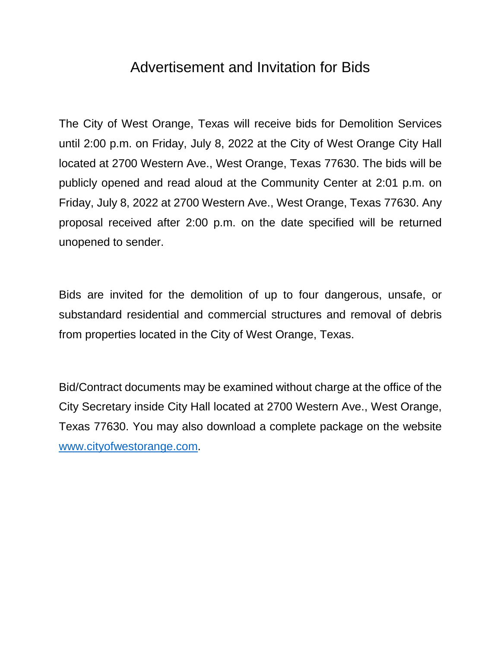## Advertisement and Invitation for Bids

The City of West Orange, Texas will receive bids for Demolition Services until 2:00 p.m. on Friday, July 8, 2022 at the City of West Orange City Hall located at 2700 Western Ave., West Orange, Texas 77630. The bids will be publicly opened and read aloud at the Community Center at 2:01 p.m. on Friday, July 8, 2022 at 2700 Western Ave., West Orange, Texas 77630. Any proposal received after 2:00 p.m. on the date specified will be returned unopened to sender.

Bids are invited for the demolition of up to four dangerous, unsafe, or substandard residential and commercial structures and removal of debris from properties located in the City of West Orange, Texas.

Bid/Contract documents may be examined without charge at the office of the City Secretary inside City Hall located at 2700 Western Ave., West Orange, Texas 77630. You may also download a complete package on the website [www.cityofwestorange.com.](http://www.cityofwestorange.com/)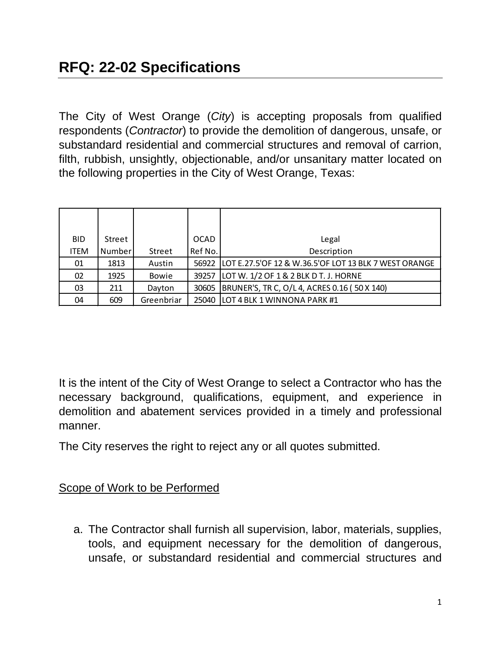The City of West Orange (*City*) is accepting proposals from qualified respondents (*Contractor*) to provide the demolition of dangerous, unsafe, or substandard residential and commercial structures and removal of carrion, filth, rubbish, unsightly, objectionable, and/or unsanitary matter located on the following properties in the City of West Orange, Texas:

| <b>BID</b>  | Street |              | <b>OCAD</b> | Legal                                                 |
|-------------|--------|--------------|-------------|-------------------------------------------------------|
| <b>ITEM</b> | Number | Street       | Ref No.     | Description                                           |
| 01          | 1813   | Austin       | 56922       | LOT E.27.5'OF 12 & W.36.5'OF LOT 13 BLK 7 WEST ORANGE |
| 02          | 1925   | <b>Bowie</b> | 39257       | LOT W. 1/2 OF 1 & 2 BLK D T. J. HORNE                 |
| 03          | 211    | Dayton       | 30605       | BRUNER'S, TR C, O/L 4, ACRES 0.16 (50 X 140)          |
| 04          | 609    | Greenbriar   | 25040       | LOT 4 BLK 1 WINNONA PARK #1                           |

It is the intent of the City of West Orange to select a Contractor who has the necessary background, qualifications, equipment, and experience in demolition and abatement services provided in a timely and professional manner.

The City reserves the right to reject any or all quotes submitted.

## Scope of Work to be Performed

a. The Contractor shall furnish all supervision, labor, materials, supplies, tools, and equipment necessary for the demolition of dangerous, unsafe, or substandard residential and commercial structures and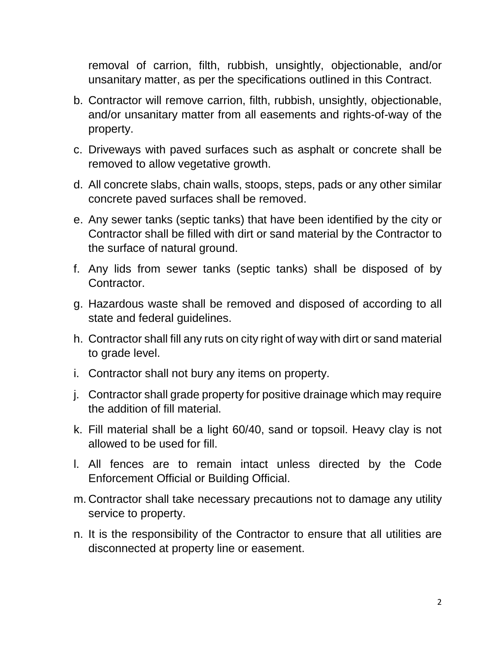removal of carrion, filth, rubbish, unsightly, objectionable, and/or unsanitary matter, as per the specifications outlined in this Contract.

- b. Contractor will remove carrion, filth, rubbish, unsightly, objectionable, and/or unsanitary matter from all easements and rights-of-way of the property.
- c. Driveways with paved surfaces such as asphalt or concrete shall be removed to allow vegetative growth.
- d. All concrete slabs, chain walls, stoops, steps, pads or any other similar concrete paved surfaces shall be removed.
- e. Any sewer tanks (septic tanks) that have been identified by the city or Contractor shall be filled with dirt or sand material by the Contractor to the surface of natural ground.
- f. Any lids from sewer tanks (septic tanks) shall be disposed of by Contractor.
- g. Hazardous waste shall be removed and disposed of according to all state and federal guidelines.
- h. Contractor shall fill any ruts on city right of way with dirt or sand material to grade level.
- i. Contractor shall not bury any items on property.
- j. Contractor shall grade property for positive drainage which may require the addition of fill material.
- k. Fill material shall be a light 60/40, sand or topsoil. Heavy clay is not allowed to be used for fill.
- l. All fences are to remain intact unless directed by the Code Enforcement Official or Building Official.
- m. Contractor shall take necessary precautions not to damage any utility service to property.
- n. It is the responsibility of the Contractor to ensure that all utilities are disconnected at property line or easement.